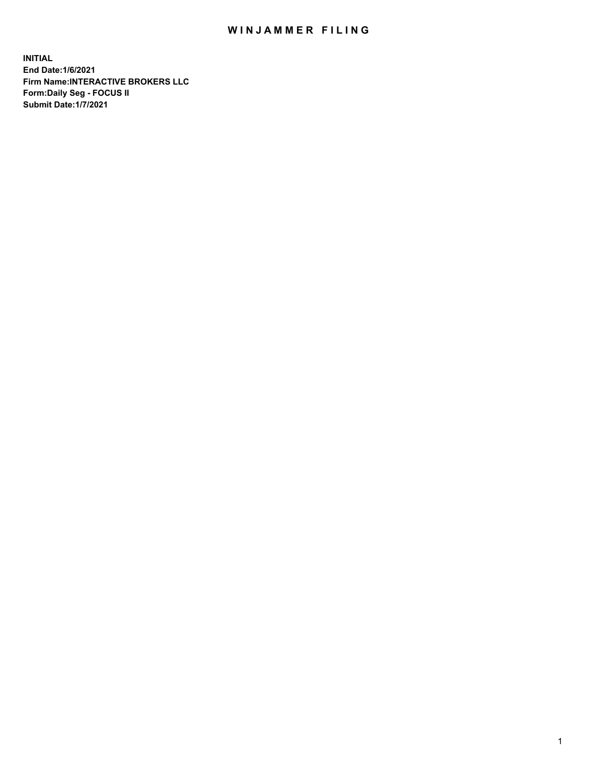## WIN JAMMER FILING

**INITIAL End Date:1/6/2021 Firm Name:INTERACTIVE BROKERS LLC Form:Daily Seg - FOCUS II Submit Date:1/7/2021**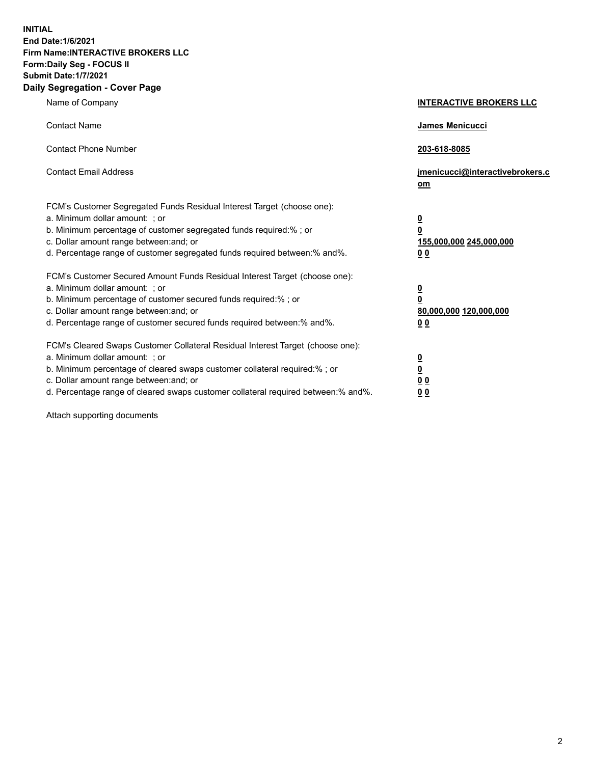**INITIAL End Date:1/6/2021 Firm Name:INTERACTIVE BROKERS LLC Form:Daily Seg - FOCUS II Submit Date:1/7/2021 Daily Segregation - Cover Page**

| Name of Company                                                                                                                                                                                                                                                                                                                | <b>INTERACTIVE BROKERS LLC</b>                                                                  |
|--------------------------------------------------------------------------------------------------------------------------------------------------------------------------------------------------------------------------------------------------------------------------------------------------------------------------------|-------------------------------------------------------------------------------------------------|
| <b>Contact Name</b>                                                                                                                                                                                                                                                                                                            | James Menicucci                                                                                 |
| <b>Contact Phone Number</b>                                                                                                                                                                                                                                                                                                    | 203-618-8085                                                                                    |
| <b>Contact Email Address</b>                                                                                                                                                                                                                                                                                                   | jmenicucci@interactivebrokers.c<br>om                                                           |
| FCM's Customer Segregated Funds Residual Interest Target (choose one):<br>a. Minimum dollar amount: ; or<br>b. Minimum percentage of customer segregated funds required:%; or<br>c. Dollar amount range between: and; or<br>d. Percentage range of customer segregated funds required between:% and%.                          | $\overline{\mathbf{0}}$<br>$\overline{\mathbf{0}}$<br>155,000,000 245,000,000<br>0 <sub>0</sub> |
| FCM's Customer Secured Amount Funds Residual Interest Target (choose one):<br>a. Minimum dollar amount: ; or<br>b. Minimum percentage of customer secured funds required:% ; or<br>c. Dollar amount range between: and; or<br>d. Percentage range of customer secured funds required between:% and%.                           | $\frac{0}{0}$<br>80,000,000 120,000,000<br>0 <sub>0</sub>                                       |
| FCM's Cleared Swaps Customer Collateral Residual Interest Target (choose one):<br>a. Minimum dollar amount: ; or<br>b. Minimum percentage of cleared swaps customer collateral required:% ; or<br>c. Dollar amount range between: and; or<br>d. Percentage range of cleared swaps customer collateral required between:% and%. | $\frac{0}{0}$<br>0 <sub>0</sub><br>0 <sub>0</sub>                                               |

Attach supporting documents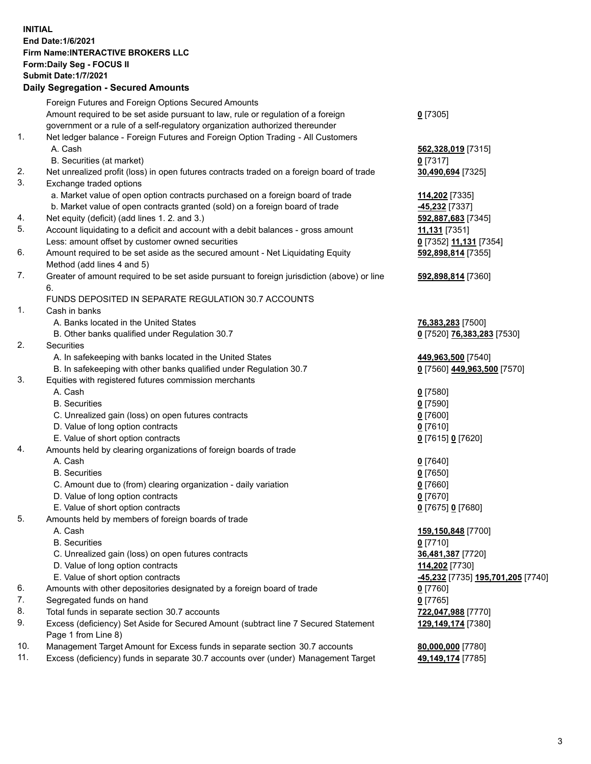**INITIAL End Date:1/6/2021 Firm Name:INTERACTIVE BROKERS LLC Form:Daily Seg - FOCUS II Submit Date:1/7/2021 Daily Segregation - Secured Amounts**

|     | Foreign Futures and Foreign Options Secured Amounts                                                          |                                   |
|-----|--------------------------------------------------------------------------------------------------------------|-----------------------------------|
|     | Amount required to be set aside pursuant to law, rule or regulation of a foreign                             | $0$ [7305]                        |
|     | government or a rule of a self-regulatory organization authorized thereunder                                 |                                   |
| 1.  | Net ledger balance - Foreign Futures and Foreign Option Trading - All Customers                              |                                   |
|     | A. Cash                                                                                                      | 562,328,019 [7315]                |
|     | B. Securities (at market)                                                                                    | $0$ [7317]                        |
| 2.  | Net unrealized profit (loss) in open futures contracts traded on a foreign board of trade                    | 30,490,694 [7325]                 |
| 3.  | Exchange traded options                                                                                      |                                   |
|     | a. Market value of open option contracts purchased on a foreign board of trade                               | 114,202 [7335]                    |
|     | b. Market value of open contracts granted (sold) on a foreign board of trade                                 | -45,232 [7337]                    |
| 4.  | Net equity (deficit) (add lines 1. 2. and 3.)                                                                | 592,887,683 [7345]                |
| 5.  | Account liquidating to a deficit and account with a debit balances - gross amount                            | 11,131 [7351]                     |
| 6.  | Less: amount offset by customer owned securities                                                             | 0 [7352] 11,131 [7354]            |
|     | Amount required to be set aside as the secured amount - Net Liquidating Equity<br>Method (add lines 4 and 5) | 592,898,814 [7355]                |
| 7.  | Greater of amount required to be set aside pursuant to foreign jurisdiction (above) or line                  | 592,898,814 [7360]                |
|     | 6.                                                                                                           |                                   |
|     | FUNDS DEPOSITED IN SEPARATE REGULATION 30.7 ACCOUNTS                                                         |                                   |
| 1.  | Cash in banks                                                                                                |                                   |
|     | A. Banks located in the United States                                                                        | 76,383,283 [7500]                 |
|     | B. Other banks qualified under Regulation 30.7                                                               | 0 [7520] 76,383,283 [7530]        |
| 2.  | Securities                                                                                                   |                                   |
|     | A. In safekeeping with banks located in the United States                                                    | 449,963,500 [7540]                |
|     | B. In safekeeping with other banks qualified under Regulation 30.7                                           | 0 [7560] 449,963,500 [7570]       |
| 3.  | Equities with registered futures commission merchants                                                        |                                   |
|     | A. Cash                                                                                                      | $0$ [7580]                        |
|     | <b>B.</b> Securities                                                                                         | $0$ [7590]                        |
|     | C. Unrealized gain (loss) on open futures contracts                                                          | $0$ [7600]                        |
|     | D. Value of long option contracts                                                                            | $0$ [7610]                        |
|     | E. Value of short option contracts                                                                           | 0 [7615] 0 [7620]                 |
| 4.  | Amounts held by clearing organizations of foreign boards of trade                                            |                                   |
|     | A. Cash                                                                                                      | $0$ [7640]                        |
|     | <b>B.</b> Securities                                                                                         | $0$ [7650]                        |
|     | C. Amount due to (from) clearing organization - daily variation                                              | $0$ [7660]                        |
|     | D. Value of long option contracts                                                                            | $0$ [7670]                        |
|     | E. Value of short option contracts                                                                           | 0 [7675] 0 [7680]                 |
| 5.  | Amounts held by members of foreign boards of trade                                                           |                                   |
|     | A. Cash                                                                                                      | 159,150,848 [7700]                |
|     | <b>B.</b> Securities                                                                                         | $0$ [7710]                        |
|     | C. Unrealized gain (loss) on open futures contracts                                                          | 36,481,387 [7720]                 |
|     | D. Value of long option contracts                                                                            | 114,202 [7730]                    |
|     | E. Value of short option contracts                                                                           | -45,232 [7735] 195,701,205 [7740] |
| 6.  | Amounts with other depositories designated by a foreign board of trade                                       | 0 [7760]                          |
| 7.  | Segregated funds on hand                                                                                     | $0$ [7765]                        |
| 8.  | Total funds in separate section 30.7 accounts                                                                | 722,047,988 [7770]                |
| 9.  | Excess (deficiency) Set Aside for Secured Amount (subtract line 7 Secured Statement<br>Page 1 from Line 8)   | 129,149,174 [7380]                |
| 10. | Management Target Amount for Excess funds in separate section 30.7 accounts                                  |                                   |
| 11. | Excess (deficiency) funds in separate 30.7 accounts over (under) Management Target                           | 80,000,000 [7780]                 |
|     |                                                                                                              | 49,149,174 [7785]                 |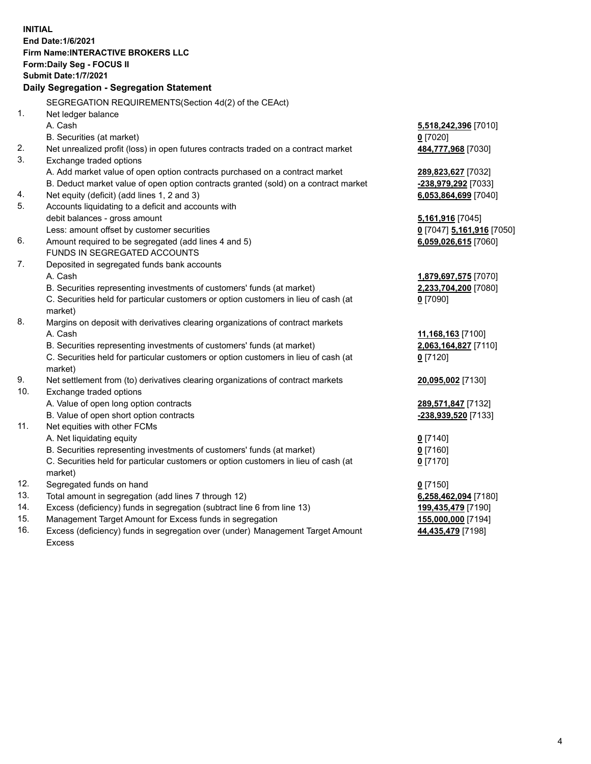**INITIAL End Date:1/6/2021 Firm Name:INTERACTIVE BROKERS LLC Form:Daily Seg - FOCUS II Submit Date:1/7/2021 Daily Segregation - Segregation Statement** SEGREGATION REQUIREMENTS(Section 4d(2) of the CEAct) 1. Net ledger balance A. Cash **5,518,242,396** [7010] B. Securities (at market) **0** [7020] 2. Net unrealized profit (loss) in open futures contracts traded on a contract market **484,777,968** [7030] 3. Exchange traded options A. Add market value of open option contracts purchased on a contract market **289,823,627** [7032] B. Deduct market value of open option contracts granted (sold) on a contract market **-238,979,292** [7033] 4. Net equity (deficit) (add lines 1, 2 and 3) **6,053,864,699** [7040] 5. Accounts liquidating to a deficit and accounts with debit balances - gross amount **5,161,916** [7045] Less: amount offset by customer securities **0** [7047] **5,161,916** [7050] 6. Amount required to be segregated (add lines 4 and 5) **6,059,026,615** [7060] FUNDS IN SEGREGATED ACCOUNTS 7. Deposited in segregated funds bank accounts A. Cash **1,879,697,575** [7070] B. Securities representing investments of customers' funds (at market) **2,233,704,200** [7080] C. Securities held for particular customers or option customers in lieu of cash (at market) **0** [7090] 8. Margins on deposit with derivatives clearing organizations of contract markets A. Cash **11,168,163** [7100] B. Securities representing investments of customers' funds (at market) **2,063,164,827** [7110] C. Securities held for particular customers or option customers in lieu of cash (at market) **0** [7120] 9. Net settlement from (to) derivatives clearing organizations of contract markets **20,095,002** [7130] 10. Exchange traded options A. Value of open long option contracts **289,571,847** [7132] B. Value of open short option contracts **-238,939,520** [7133] 11. Net equities with other FCMs A. Net liquidating equity **0** [7140] B. Securities representing investments of customers' funds (at market) **0** [7160] C. Securities held for particular customers or option customers in lieu of cash (at market) **0** [7170] 12. Segregated funds on hand **0** [7150] 13. Total amount in segregation (add lines 7 through 12) **6,258,462,094** [7180] 14. Excess (deficiency) funds in segregation (subtract line 6 from line 13) **199,435,479** [7190] 15. Management Target Amount for Excess funds in segregation **155,000,000** [7194] 16. Excess (deficiency) funds in segregation over (under) Management Target Amount **44,435,479** [7198]

Excess